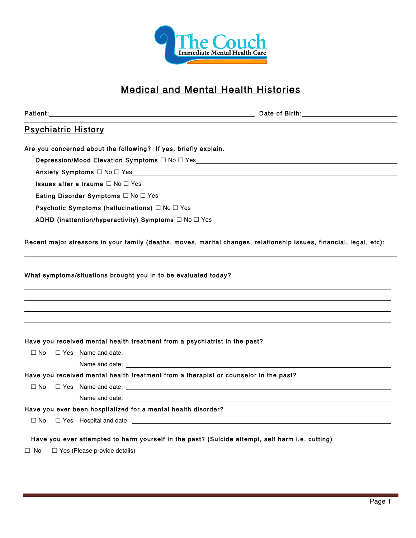

# Medical and Mental Health Histories

|           |                                     | Patient: with a state of the contract of the contract of the contract of the contract of the contract of the contract of the contract of the contract of the contract of the contract of the contract of the contract of the c<br>Date of Birth: <u>Alexander State of Birth:</u> |
|-----------|-------------------------------------|-----------------------------------------------------------------------------------------------------------------------------------------------------------------------------------------------------------------------------------------------------------------------------------|
|           | <b>Psychiatric History</b>          |                                                                                                                                                                                                                                                                                   |
|           |                                     | Are you concerned about the following? If yes, briefly explain.                                                                                                                                                                                                                   |
|           |                                     | Depression/Mood Elevation Symptoms □ No □ Yes___________________________________                                                                                                                                                                                                  |
|           |                                     |                                                                                                                                                                                                                                                                                   |
|           |                                     | Issues after a trauma $\Box$ No $\Box$ Yes section of the section of the section of the section of the section of the section of the section of the section of the section of the section of the section of the section of the se                                                 |
|           |                                     |                                                                                                                                                                                                                                                                                   |
|           |                                     | Psychotic Symptoms (hallucinations) $\Box$ No $\Box$ Yes $\Box$ No $\Box$ Yes $\Box$ No $\Box$ No $\Box$ No $\Box$ No $\Box$ No $\Box$ No $\Box$ No $\Box$ No $\Box$ No $\Box$ No $\Box$ No $\Box$ No $\Box$ No $\Box$ No $\Box$ No $\Box$ No $\Box$ No $\Box$ No $\Box$ No       |
|           |                                     | ADHD (inattention/hyperactivity) Symptoms $\Box$ No $\Box$ Yes $\Box$ No $\Box$ Yes $\Box$ No $\Box$ No $\Box$ Yes $\Box$ No $\Box$ No $\Box$ No $\Box$ No $\Box$ No $\Box$ No $\Box$ No $\Box$ No $\Box$ No $\Box$ No $\Box$ No $\Box$ No $\Box$ No $\Box$ No $\Box$ No          |
|           |                                     | Recent major stressors in your family (deaths, moves, marital changes, relationship issues, financial, legal, etc):                                                                                                                                                               |
|           |                                     |                                                                                                                                                                                                                                                                                   |
|           |                                     | Have you received mental health treatment from a psychiatrist in the past?                                                                                                                                                                                                        |
| $\Box$ No |                                     |                                                                                                                                                                                                                                                                                   |
|           |                                     | Name and date: example, and the same state of the same state of the same state of the same state of the same state of the same state of the same state of the same state of the same state of the same state of the same state                                                    |
|           |                                     | Have you received mental health treatment from a therapist or counselor in the past?                                                                                                                                                                                              |
| $\Box$ No |                                     |                                                                                                                                                                                                                                                                                   |
|           |                                     |                                                                                                                                                                                                                                                                                   |
|           |                                     | Have you ever been hospitalized for a mental health disorder?                                                                                                                                                                                                                     |
| $\Box$ No |                                     | $\Box$ Yes Hospital and date: $\Box$ Yes Hospital and date:                                                                                                                                                                                                                       |
|           |                                     | Have you ever attempted to harm yourself in the past? (Suicide attempt, self harm i.e. cutting)                                                                                                                                                                                   |
| $\Box$ No | $\Box$ Yes (Please provide details) |                                                                                                                                                                                                                                                                                   |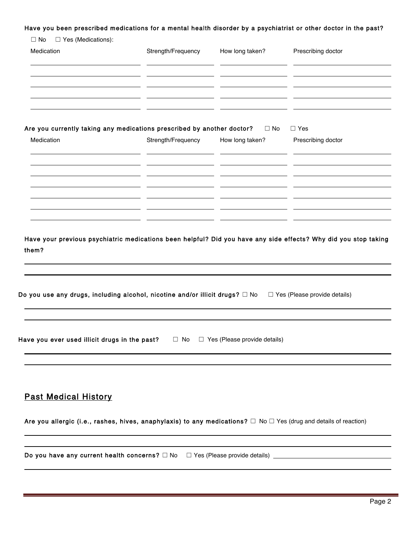#### Have you been prescribed medications for a mental health disorder by a psychiatrist or other doctor in the past?

|                                                        | Strength/Frequency                                                                                              | How long taken?                     | Prescribing doctor                  |
|--------------------------------------------------------|-----------------------------------------------------------------------------------------------------------------|-------------------------------------|-------------------------------------|
| Medication                                             |                                                                                                                 |                                     |                                     |
|                                                        |                                                                                                                 |                                     |                                     |
|                                                        |                                                                                                                 |                                     |                                     |
|                                                        |                                                                                                                 |                                     |                                     |
|                                                        |                                                                                                                 |                                     |                                     |
|                                                        | Are you currently taking any medications prescribed by another doctor? $\square$ No                             |                                     | $\Box$ Yes                          |
| Medication                                             | Strength/Frequency                                                                                              | How long taken?                     | Prescribing doctor                  |
|                                                        |                                                                                                                 |                                     |                                     |
|                                                        |                                                                                                                 |                                     |                                     |
|                                                        |                                                                                                                 |                                     |                                     |
|                                                        |                                                                                                                 |                                     |                                     |
|                                                        |                                                                                                                 |                                     |                                     |
|                                                        |                                                                                                                 |                                     |                                     |
|                                                        | Have your previous psychiatric medications been helpful? Did you have any side effects? Why did you stop taking |                                     |                                     |
|                                                        |                                                                                                                 |                                     |                                     |
|                                                        | Do you use any drugs, including alcohol, nicotine and/or illicit drugs? $\Box$ No                               |                                     | $\Box$ Yes (Please provide details) |
|                                                        |                                                                                                                 |                                     |                                     |
|                                                        |                                                                                                                 |                                     |                                     |
|                                                        | $\Box$ No                                                                                                       | $\Box$ Yes (Please provide details) |                                     |
| them?<br>Have you ever used illicit drugs in the past? |                                                                                                                 |                                     |                                     |
|                                                        |                                                                                                                 |                                     |                                     |
|                                                        |                                                                                                                 |                                     |                                     |

Are you allergic (i.e., rashes, hives, anaphylaxis) to any medications? □ No □ Yes (drug and details of reaction)

Do you have any current health concerns? □ No □ Yes (Please provide details) \_\_\_\_\_\_\_\_\_\_\_\_\_\_\_\_\_\_\_\_\_\_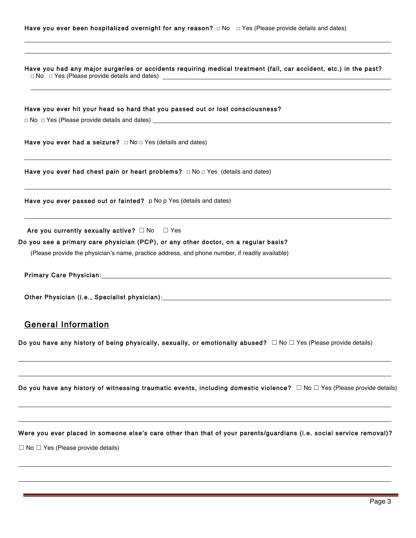Have you had any major surgeries or accidents requiring medical treatment (fall, car accident, etc.) in the past? **☐** No **☐** Yes (Please provide details and dates)

| Have you ever hit your head so hard that you passed out or lost consciousness?                                                                                                                                                 |
|--------------------------------------------------------------------------------------------------------------------------------------------------------------------------------------------------------------------------------|
|                                                                                                                                                                                                                                |
| Have you ever had a seizure? $\Box$ No $\Box$ Yes (details and dates)                                                                                                                                                          |
| Have you ever had chest pain or heart problems? $\Box$ No $\Box$ Yes (details and dates)                                                                                                                                       |
| Have you ever passed out or fainted? p No p Yes (details and dates)                                                                                                                                                            |
| Are you currently sexually active? $\Box$ No $\Box$ Yes                                                                                                                                                                        |
| Do you see a primary care physician (PCP), or any other doctor, on a regular basis?                                                                                                                                            |
| (Please provide the physician's name, practice address, and phone number, if readily available)                                                                                                                                |
|                                                                                                                                                                                                                                |
| Other Physician (i.e., Specialist physician): Manual Charles Communist Charles Communist Charles Charles Charles Charles Charles Charles Charles Charles Charles Charles Charles Charles Charles Charles Charles Charles Charl |
| <b>General Information</b>                                                                                                                                                                                                     |
| Do you have any history of being physically, sexually, or emotionally abused? $\Box$ No $\Box$ Yes (Please provide details)                                                                                                    |
|                                                                                                                                                                                                                                |
| Do you have any history of witnessing traumatic events, including domestic violence? $\Box$ No $\Box$ Yes (Please provide details)                                                                                             |
|                                                                                                                                                                                                                                |
| Were you ever placed in someone else's care other than that of your parents/guardians (i.e. social service removal)?                                                                                                           |
| $\Box$ No $\Box$ Yes (Please provide details)                                                                                                                                                                                  |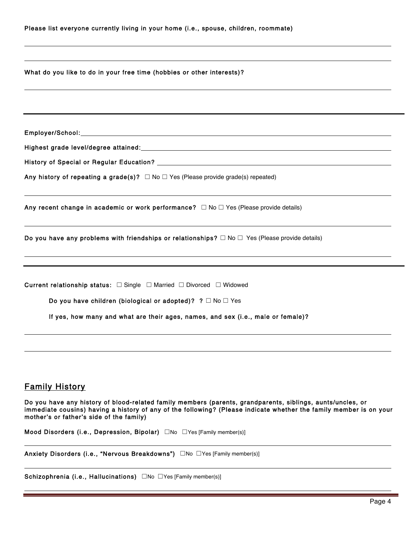| Please list everyone currently living in your home (i.e., spouse, children, roommate)                                                                                                         |
|-----------------------------------------------------------------------------------------------------------------------------------------------------------------------------------------------|
| What do you like to do in your free time (hobbies or other interests)?                                                                                                                        |
|                                                                                                                                                                                               |
|                                                                                                                                                                                               |
|                                                                                                                                                                                               |
| Any history of repeating a grade(s)? $\Box$ No $\Box$ Yes (Please provide grade(s) repeated)                                                                                                  |
| Any recent change in academic or work performance? $\Box$ No $\Box$ Yes (Please provide details)                                                                                              |
| Do you have any problems with friendships or relationships? $\Box$ No $\Box$ Yes (Please provide details)<br>,我们也不会有什么。""我们的人,我们也不会有什么?""我们的人,我们也不会有什么?""我们的人,我们也不会有什么?""我们的人,我们也不会有什么?""我们的人 |
| Current relationship status: □ Single □ Married □ Divorced □ Widowed                                                                                                                          |
| Do you have children (biological or adopted)? $? \square$ No $\square$ Yes                                                                                                                    |
| If yes, how many and what are their ages, names, and sex (i.e., male or female)?                                                                                                              |
|                                                                                                                                                                                               |
| <b>Family History</b>                                                                                                                                                                         |

Do you have any history of blood-related family members (parents, grandparents, siblings, aunts/uncles, or immediate cousins) having a history of any of the following? (Please indicate whether the family member is on your mother's or father's side of the family)

Mood Disorders (i.e., Depression, Bipolar) □No □Yes [Family member(s)]

Anxiety Disorders (i.e., "Nervous Breakdowns") □No □Yes [Family member(s)]

Schizophrenia (i.e., Hallucinations) □No □Yes [Family member(s)]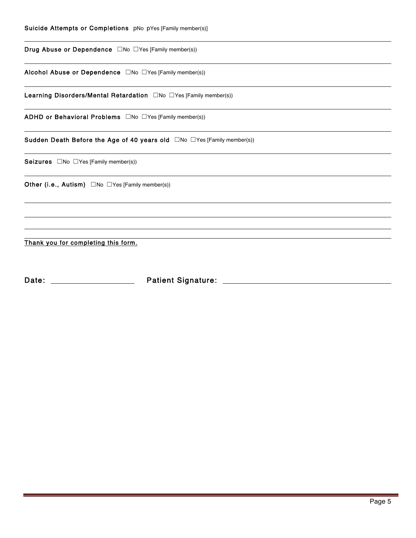| Suicide Attempts or Completions pNo pYes [Family member(s)] |  |
|-------------------------------------------------------------|--|
|-------------------------------------------------------------|--|

Drug Abuse or Dependence □No □Yes [Family member(s))

Alcohol Abuse or Dependence □No □Yes [Family member(s))

Learning Disorders/Mental Retardation □No □Yes [Family member(s))

ADHD or Behavioral Problems □No □Yes [Family member(s))

Sudden Death Before the Age of 40 years old □No □Yes [Family member(s))

Seizures □No □Yes [Family member(s))

 $\overline{a}$ 

 $\overline{a}$ 

Other (i.e., Autism) □No □Yes [Family member(s))

Thank you for completing this form.

Date: Patient Signature: Date: Patient Signature: